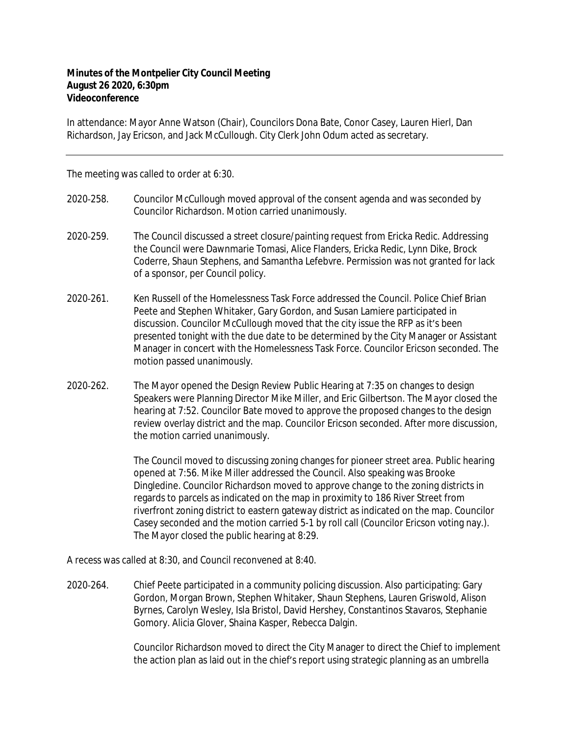## **Minutes of the Montpelier City Council Meeting August 26 2020, 6:30pm Videoconference**

In attendance: Mayor Anne Watson (Chair), Councilors Dona Bate, Conor Casey, Lauren Hierl, Dan Richardson, Jay Ericson, and Jack McCullough. City Clerk John Odum acted as secretary.

The meeting was called to order at 6:30.

- 2020‐258. Councilor McCullough moved approval of the consent agenda and was seconded by Councilor Richardson. Motion carried unanimously.
- 2020‐259. The Council discussed a street closure/painting request from Ericka Redic. Addressing the Council were Dawnmarie Tomasi, Alice Flanders, Ericka Redic, Lynn Dike, Brock Coderre, Shaun Stephens, and Samantha Lefebvre. Permission was not granted for lack of a sponsor, per Council policy.
- 2020‐261. Ken Russell of the Homelessness Task Force addressed the Council. Police Chief Brian Peete and Stephen Whitaker, Gary Gordon, and Susan Lamiere participated in discussion. Councilor McCullough moved that the city issue the RFP as it's been presented tonight with the due date to be determined by the City Manager or Assistant Manager in concert with the Homelessness Task Force. Councilor Ericson seconded. The motion passed unanimously.
- 2020‐262. The Mayor opened the Design Review Public Hearing at 7:35 on changes to design Speakers were Planning Director Mike Miller, and Eric Gilbertson. The Mayor closed the hearing at 7:52. Councilor Bate moved to approve the proposed changes to the design review overlay district and the map. Councilor Ericson seconded. After more discussion, the motion carried unanimously.

The Council moved to discussing zoning changes for pioneer street area. Public hearing opened at 7:56. Mike Miller addressed the Council. Also speaking was Brooke Dingledine. Councilor Richardson moved to approve change to the zoning districts in regards to parcels as indicated on the map in proximity to 186 River Street from riverfront zoning district to eastern gateway district as indicated on the map. Councilor Casey seconded and the motion carried 5-1 by roll call (Councilor Ericson voting nay.). The Mayor closed the public hearing at 8:29.

A recess was called at 8:30, and Council reconvened at 8:40.

2020‐264. Chief Peete participated in a community policing discussion. Also participating: Gary Gordon, Morgan Brown, Stephen Whitaker, Shaun Stephens, Lauren Griswold, Alison Byrnes, Carolyn Wesley, Isla Bristol, David Hershey, Constantinos Stavaros, Stephanie Gomory. Alicia Glover, Shaina Kasper, Rebecca Dalgin.

> Councilor Richardson moved to direct the City Manager to direct the Chief to implement the action plan as laid out in the chief's report using strategic planning as an umbrella